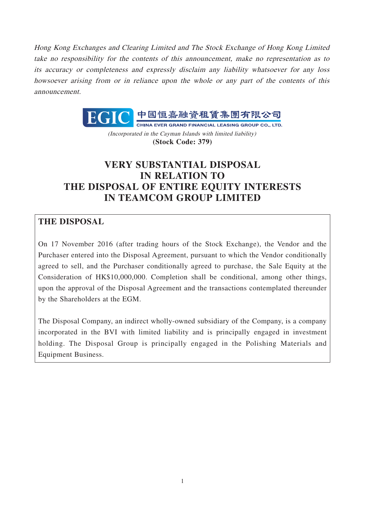Hong Kong Exchanges and Clearing Limited and The Stock Exchange of Hong Kong Limited take no responsibility for the contents of this announcement, make no representation as to its accuracy or completeness and expressly disclaim any liability whatsoever for any loss howsoever arising from or in reliance upon the whole or any part of the contents of this announcement.



(Incorporated in the Cayman Islands with limited liability) **(Stock Code: 379)**

# **VERY SUBSTANTIAL DISPOSAL IN RELATION TO THE DISPOSAL OF ENTIRE EQUITY INTERESTS IN TEAMCOM GROUP LIMITED**

# **THE DISPOSAL**

On 17 November 2016 (after trading hours of the Stock Exchange), the Vendor and the Purchaser entered into the Disposal Agreement, pursuant to which the Vendor conditionally agreed to sell, and the Purchaser conditionally agreed to purchase, the Sale Equity at the Consideration of HK\$10,000,000. Completion shall be conditional, among other things, upon the approval of the Disposal Agreement and the transactions contemplated thereunder by the Shareholders at the EGM.

The Disposal Company, an indirect wholly-owned subsidiary of the Company, is a company incorporated in the BVI with limited liability and is principally engaged in investment holding. The Disposal Group is principally engaged in the Polishing Materials and Equipment Business.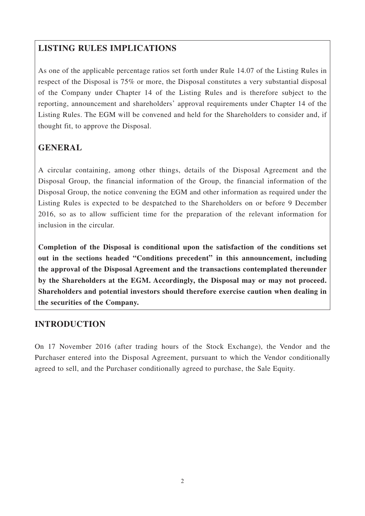### **LISTING RULES IMPLICATIONS**

As one of the applicable percentage ratios set forth under Rule 14.07 of the Listing Rules in respect of the Disposal is 75% or more, the Disposal constitutes a very substantial disposal of the Company under Chapter 14 of the Listing Rules and is therefore subject to the reporting, announcement and shareholders' approval requirements under Chapter 14 of the Listing Rules. The EGM will be convened and held for the Shareholders to consider and, if thought fit, to approve the Disposal.

# **GENERAL**

A circular containing, among other things, details of the Disposal Agreement and the Disposal Group, the financial information of the Group, the financial information of the Disposal Group, the notice convening the EGM and other information as required under the Listing Rules is expected to be despatched to the Shareholders on or before 9 December 2016, so as to allow sufficient time for the preparation of the relevant information for inclusion in the circular.

**Completion of the Disposal is conditional upon the satisfaction of the conditions set out in the sections headed "Conditions precedent" in this announcement, including the approval of the Disposal Agreement and the transactions contemplated thereunder by the Shareholders at the EGM. Accordingly, the Disposal may or may not proceed. Shareholders and potential investors should therefore exercise caution when dealing in the securities of the Company.**

### **INTRODUCTION**

On 17 November 2016 (after trading hours of the Stock Exchange), the Vendor and the Purchaser entered into the Disposal Agreement, pursuant to which the Vendor conditionally agreed to sell, and the Purchaser conditionally agreed to purchase, the Sale Equity.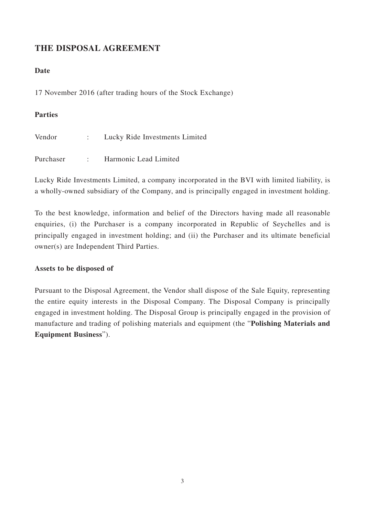### **THE DISPOSAL AGREEMENT**

#### **Date**

17 November 2016 (after trading hours of the Stock Exchange)

#### **Parties**

Vendor : Lucky Ride Investments Limited Purchaser : Harmonic Lead Limited

Lucky Ride Investments Limited, a company incorporated in the BVI with limited liability, is a wholly-owned subsidiary of the Company, and is principally engaged in investment holding.

To the best knowledge, information and belief of the Directors having made all reasonable enquiries, (i) the Purchaser is a company incorporated in Republic of Seychelles and is principally engaged in investment holding; and (ii) the Purchaser and its ultimate beneficial owner(s) are Independent Third Parties.

#### **Assets to be disposed of**

Pursuant to the Disposal Agreement, the Vendor shall dispose of the Sale Equity, representing the entire equity interests in the Disposal Company. The Disposal Company is principally engaged in investment holding. The Disposal Group is principally engaged in the provision of manufacture and trading of polishing materials and equipment (the "**Polishing Materials and Equipment Business**").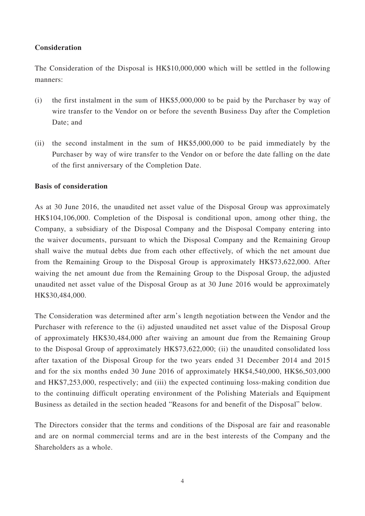#### **Consideration**

The Consideration of the Disposal is HK\$10,000,000 which will be settled in the following manners:

- (i) the first instalment in the sum of HK\$5,000,000 to be paid by the Purchaser by way of wire transfer to the Vendor on or before the seventh Business Day after the Completion Date; and
- (ii) the second instalment in the sum of HK\$5,000,000 to be paid immediately by the Purchaser by way of wire transfer to the Vendor on or before the date falling on the date of the first anniversary of the Completion Date.

#### **Basis of consideration**

As at 30 June 2016, the unaudited net asset value of the Disposal Group was approximately HK\$104,106,000. Completion of the Disposal is conditional upon, among other thing, the Company, a subsidiary of the Disposal Company and the Disposal Company entering into the waiver documents, pursuant to which the Disposal Company and the Remaining Group shall waive the mutual debts due from each other effectively, of which the net amount due from the Remaining Group to the Disposal Group is approximately HK\$73,622,000. After waiving the net amount due from the Remaining Group to the Disposal Group, the adjusted unaudited net asset value of the Disposal Group as at 30 June 2016 would be approximately HK\$30,484,000.

The Consideration was determined after arm's length negotiation between the Vendor and the Purchaser with reference to the (i) adjusted unaudited net asset value of the Disposal Group of approximately HK\$30,484,000 after waiving an amount due from the Remaining Group to the Disposal Group of approximately HK\$73,622,000; (ii) the unaudited consolidated loss after taxation of the Disposal Group for the two years ended 31 December 2014 and 2015 and for the six months ended 30 June 2016 of approximately HK\$4,540,000, HK\$6,503,000 and HK\$7,253,000, respectively; and (iii) the expected continuing loss-making condition due to the continuing difficult operating environment of the Polishing Materials and Equipment Business as detailed in the section headed "Reasons for and benefit of the Disposal" below.

The Directors consider that the terms and conditions of the Disposal are fair and reasonable and are on normal commercial terms and are in the best interests of the Company and the Shareholders as a whole.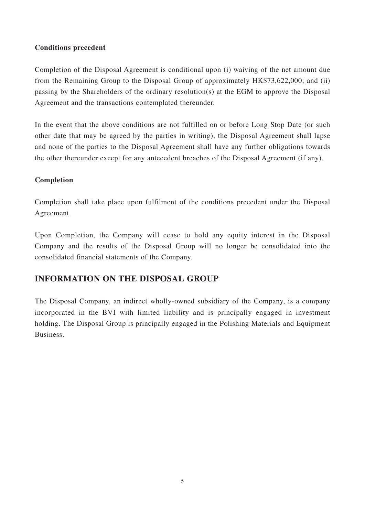#### **Conditions precedent**

Completion of the Disposal Agreement is conditional upon (i) waiving of the net amount due from the Remaining Group to the Disposal Group of approximately HK\$73,622,000; and (ii) passing by the Shareholders of the ordinary resolution(s) at the EGM to approve the Disposal Agreement and the transactions contemplated thereunder.

In the event that the above conditions are not fulfilled on or before Long Stop Date (or such other date that may be agreed by the parties in writing), the Disposal Agreement shall lapse and none of the parties to the Disposal Agreement shall have any further obligations towards the other thereunder except for any antecedent breaches of the Disposal Agreement (if any).

#### **Completion**

Completion shall take place upon fulfilment of the conditions precedent under the Disposal Agreement.

Upon Completion, the Company will cease to hold any equity interest in the Disposal Company and the results of the Disposal Group will no longer be consolidated into the consolidated financial statements of the Company.

### **INFORMATION ON THE DISPOSAL GROUP**

The Disposal Company, an indirect wholly-owned subsidiary of the Company, is a company incorporated in the BVI with limited liability and is principally engaged in investment holding. The Disposal Group is principally engaged in the Polishing Materials and Equipment Business.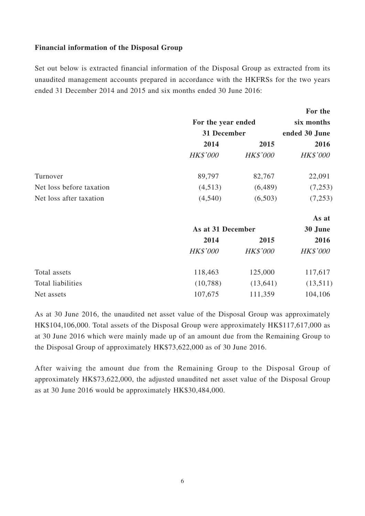#### **Financial information of the Disposal Group**

Set out below is extracted financial information of the Disposal Group as extracted from its unaudited management accounts prepared in accordance with the HKFRSs for the two years ended 31 December 2014 and 2015 and six months ended 30 June 2016:

|                          |                                   |                 | For the                     |
|--------------------------|-----------------------------------|-----------------|-----------------------------|
|                          | For the year ended<br>31 December |                 | six months<br>ended 30 June |
|                          |                                   |                 |                             |
|                          | 2014                              | 2015            | 2016                        |
|                          | <b>HK\$'000</b>                   | <b>HK\$'000</b> | <b>HK\$'000</b>             |
| Turnover                 | 89,797                            | 82,767          | 22,091                      |
| Net loss before taxation | (4,513)                           | (6,489)         | (7,253)                     |
| Net loss after taxation  | (4,540)                           | (6,503)         | (7,253)                     |
|                          |                                   |                 | As at                       |
|                          | As at 31 December                 |                 | 30 June                     |
|                          | 2014                              | 2015            | 2016                        |
|                          | <b>HK\$'000</b>                   | <b>HK\$'000</b> | <b>HK\$'000</b>             |
| Total assets             | 118,463                           | 125,000         | 117,617                     |
| Total liabilities        | (10,788)                          | (13, 641)       | (13,511)                    |
| Net assets               | 107,675                           | 111,359         | 104,106                     |

As at 30 June 2016, the unaudited net asset value of the Disposal Group was approximately HK\$104,106,000. Total assets of the Disposal Group were approximately HK\$117,617,000 as at 30 June 2016 which were mainly made up of an amount due from the Remaining Group to the Disposal Group of approximately HK\$73,622,000 as of 30 June 2016.

After waiving the amount due from the Remaining Group to the Disposal Group of approximately HK\$73,622,000, the adjusted unaudited net asset value of the Disposal Group as at 30 June 2016 would be approximately HK\$30,484,000.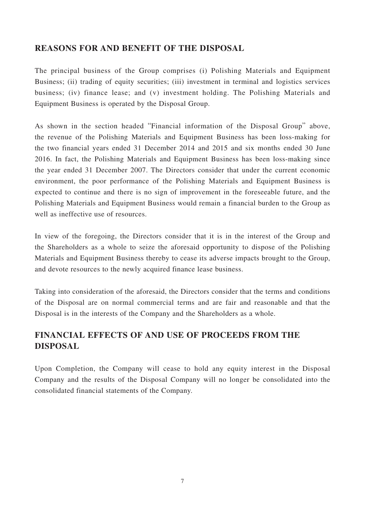### **REASONS FOR AND BENEFIT OF THE DISPOSAL**

The principal business of the Group comprises (i) Polishing Materials and Equipment Business; (ii) trading of equity securities; (iii) investment in terminal and logistics services business; (iv) finance lease; and (v) investment holding. The Polishing Materials and Equipment Business is operated by the Disposal Group.

As shown in the section headed "Financial information of the Disposal Group" above, the revenue of the Polishing Materials and Equipment Business has been loss-making for the two financial years ended 31 December 2014 and 2015 and six months ended 30 June 2016. In fact, the Polishing Materials and Equipment Business has been loss-making since the year ended 31 December 2007. The Directors consider that under the current economic environment, the poor performance of the Polishing Materials and Equipment Business is expected to continue and there is no sign of improvement in the foreseeable future, and the Polishing Materials and Equipment Business would remain a financial burden to the Group as well as ineffective use of resources.

In view of the foregoing, the Directors consider that it is in the interest of the Group and the Shareholders as a whole to seize the aforesaid opportunity to dispose of the Polishing Materials and Equipment Business thereby to cease its adverse impacts brought to the Group, and devote resources to the newly acquired finance lease business.

Taking into consideration of the aforesaid, the Directors consider that the terms and conditions of the Disposal are on normal commercial terms and are fair and reasonable and that the Disposal is in the interests of the Company and the Shareholders as a whole.

# **FINANCIAL EFFECTS OF AND USE OF PROCEEDS FROM THE DISPOSAL**

Upon Completion, the Company will cease to hold any equity interest in the Disposal Company and the results of the Disposal Company will no longer be consolidated into the consolidated financial statements of the Company.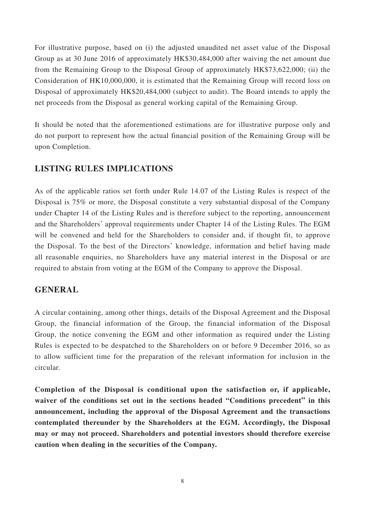For illustrative purpose, based on (i) the adjusted unaudited net asset value of the Disposal Group as at 30 June 2016 of approximately HK\$30,484,000 after waiving the net amount due from the Remaining Group to the Disposal Group of approximately HK\$73,622,000; (ii) the Consideration of HK10,000,000, it is estimated that the Remaining Group will record loss on Disposal of approximately HK\$20,484,000 (subject to audit). The Board intends to apply the net proceeds from the Disposal as general working capital of the Remaining Group.

It should be noted that the aforementioned estimations are for illustrative purpose only and do not purport to represent how the actual financial position of the Remaining Group will be upon Completion.

### **LISTING RULES IMPLICATIONS**

As of the applicable ratios set forth under Rule 14.07 of the Listing Rules is respect of the Disposal is 75% or more, the Disposal constitute a very substantial disposal of the Company under Chapter 14 of the Listing Rules and is therefore subject to the reporting, announcement and the Shareholders' approval requirements under Chapter 14 of the Listing Rules. The EGM will be convened and held for the Shareholders to consider and, if thought fit, to approve the Disposal. To the best of the Directors' knowledge, information and belief having made all reasonable enquiries, no Shareholders have any material interest in the Disposal or are required to abstain from voting at the EGM of the Company to approve the Disposal.

### **GENERAL**

A circular containing, among other things, details of the Disposal Agreement and the Disposal Group, the financial information of the Group, the financial information of the Disposal Group, the notice convening the EGM and other information as required under the Listing Rules is expected to be despatched to the Shareholders on or before 9 December 2016, so as to allow sufficient time for the preparation of the relevant information for inclusion in the circular.

**Completion of the Disposal is conditional upon the satisfaction or, if applicable, waiver of the conditions set out in the sections headed "Conditions precedent" in this announcement, including the approval of the Disposal Agreement and the transactions contemplated thereunder by the Shareholders at the EGM. Accordingly, the Disposal may or may not proceed. Shareholders and potential investors should therefore exercise caution when dealing in the securities of the Company.**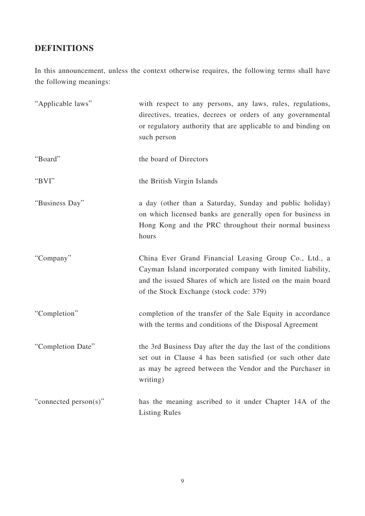# **DEFINITIONS**

In this announcement, unless the context otherwise requires, the following terms shall have the following meanings:

| "Applicable laws"     | with respect to any persons, any laws, rules, regulations,<br>directives, treaties, decrees or orders of any governmental<br>or regulatory authority that are applicable to and binding on<br>such person                     |
|-----------------------|-------------------------------------------------------------------------------------------------------------------------------------------------------------------------------------------------------------------------------|
| "Board"               | the board of Directors                                                                                                                                                                                                        |
| "BVI"                 | the British Virgin Islands                                                                                                                                                                                                    |
| "Business Day"        | a day (other than a Saturday, Sunday and public holiday)<br>on which licensed banks are generally open for business in<br>Hong Kong and the PRC throughout their normal business<br>hours                                     |
| "Company"             | China Ever Grand Financial Leasing Group Co., Ltd., a<br>Cayman Island incorporated company with limited liability,<br>and the issued Shares of which are listed on the main board<br>of the Stock Exchange (stock code: 379) |
| "Completion"          | completion of the transfer of the Sale Equity in accordance<br>with the terms and conditions of the Disposal Agreement                                                                                                        |
| "Completion Date"     | the 3rd Business Day after the day the last of the conditions<br>set out in Clause 4 has been satisfied (or such other date<br>as may be agreed between the Vendor and the Purchaser in<br>writing)                           |
| "connected person(s)" | has the meaning ascribed to it under Chapter 14A of the<br><b>Listing Rules</b>                                                                                                                                               |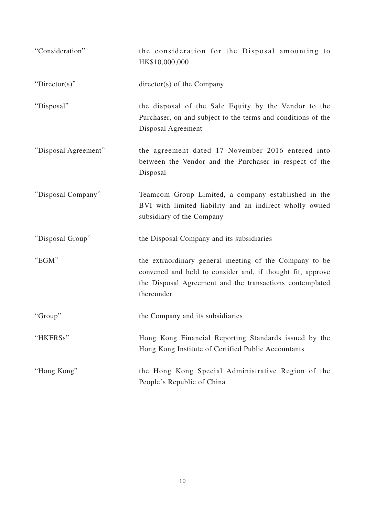| "Consideration"      | the consideration for the Disposal amounting to<br>HK\$10,000,000                                                                                                                              |
|----------------------|------------------------------------------------------------------------------------------------------------------------------------------------------------------------------------------------|
| " $Directory$ "      | director(s) of the Company                                                                                                                                                                     |
| "Disposal"           | the disposal of the Sale Equity by the Vendor to the<br>Purchaser, on and subject to the terms and conditions of the<br>Disposal Agreement                                                     |
| "Disposal Agreement" | the agreement dated 17 November 2016 entered into<br>between the Vendor and the Purchaser in respect of the<br>Disposal                                                                        |
| "Disposal Company"   | Teamcom Group Limited, a company established in the<br>BVI with limited liability and an indirect wholly owned<br>subsidiary of the Company                                                    |
| "Disposal Group"     | the Disposal Company and its subsidiaries                                                                                                                                                      |
| "EGM"                | the extraordinary general meeting of the Company to be<br>convened and held to consider and, if thought fit, approve<br>the Disposal Agreement and the transactions contemplated<br>thereunder |
| "Group"              | the Company and its subsidiaries                                                                                                                                                               |
| "HKFRSs"             | Hong Kong Financial Reporting Standards issued by the<br>Hong Kong Institute of Certified Public Accountants                                                                                   |
| "Hong Kong"          | the Hong Kong Special Administrative Region of the<br>People's Republic of China                                                                                                               |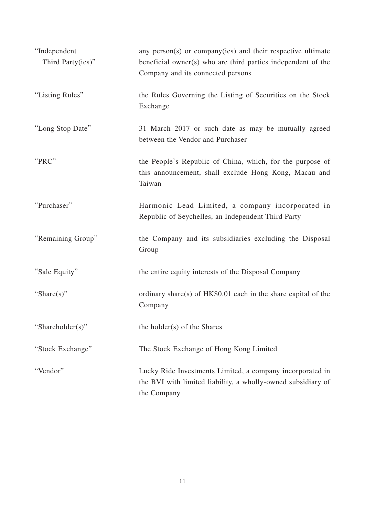| "Independent<br>Third Party(ies)" | any person(s) or company(ies) and their respective ultimate<br>beneficial owner(s) who are third parties independent of the<br>Company and its connected persons |
|-----------------------------------|------------------------------------------------------------------------------------------------------------------------------------------------------------------|
| "Listing Rules"                   | the Rules Governing the Listing of Securities on the Stock<br>Exchange                                                                                           |
| "Long Stop Date"                  | 31 March 2017 or such date as may be mutually agreed<br>between the Vendor and Purchaser                                                                         |
| "PRC"                             | the People's Republic of China, which, for the purpose of<br>this announcement, shall exclude Hong Kong, Macau and<br>Taiwan                                     |
| "Purchaser"                       | Harmonic Lead Limited, a company incorporated in<br>Republic of Seychelles, an Independent Third Party                                                           |
| "Remaining Group"                 | the Company and its subsidiaries excluding the Disposal<br>Group                                                                                                 |
| "Sale Equity"                     | the entire equity interests of the Disposal Company                                                                                                              |
| "Share $(s)$ "                    | ordinary share(s) of HK\$0.01 each in the share capital of the<br>Company                                                                                        |
| "Shareholder(s)"                  | the holder(s) of the Shares                                                                                                                                      |
| "Stock Exchange"                  | The Stock Exchange of Hong Kong Limited                                                                                                                          |
| "Vendor"                          | Lucky Ride Investments Limited, a company incorporated in<br>the BVI with limited liability, a wholly-owned subsidiary of<br>the Company                         |